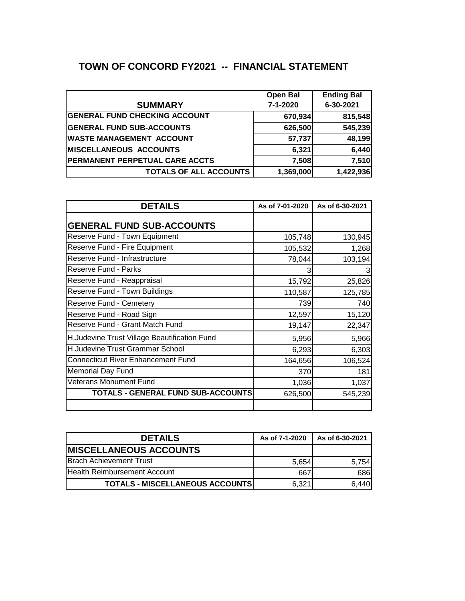## **TOWN OF CONCORD FY2021 -- FINANCIAL STATEMENT**

|                                       | <b>Open Bal</b> | <b>Ending Bal</b> |
|---------------------------------------|-----------------|-------------------|
| <b>SUMMARY</b>                        | 7-1-2020        | 6-30-2021         |
| <b>GENERAL FUND CHECKING ACCOUNT</b>  | 670,934         | 815,548           |
| <b>GENERAL FUND SUB-ACCOUNTS</b>      | 626,500         | 545,239           |
| <b>WASTE MANAGEMENT ACCOUNT</b>       | 57,737          | 48,199            |
| <b>MISCELLANEOUS ACCOUNTS</b>         | 6,321           | 6,440             |
| <b>PERMANENT PERPETUAL CARE ACCTS</b> | 7,508           | 7,510             |
| <b>TOTALS OF ALL ACCOUNTS</b>         | 1,369,000       | 1,422,936         |

| <b>DETAILS</b>                               | As of 7-01-2020 | As of 6-30-2021 |
|----------------------------------------------|-----------------|-----------------|
| <b>GENERAL FUND SUB-ACCOUNTS</b>             |                 |                 |
| Reserve Fund - Town Equipment                | 105,748         | 130,945         |
| Reserve Fund - Fire Equipment                | 105,532         | 1,268           |
| Reserve Fund - Infrastructure                | 78,044          | 103,194         |
| Reserve Fund - Parks                         |                 |                 |
| Reserve Fund - Reappraisal                   | 15,792          | 25,826          |
| Reserve Fund - Town Buildings                | 110,587         | 125,785         |
| Reserve Fund - Cemetery                      | 739             | 740             |
| Reserve Fund - Road Sign                     | 12,597          | 15,120          |
| Reserve Fund - Grant Match Fund              | 19,147          | 22,347          |
| H.Judevine Trust Village Beautification Fund | 5,956           | 5,966           |
| H.Judevine Trust Grammar School              | 6,293           | 6,303           |
| Connecticut River Enhancement Fund           | 164,656         | 106,524         |
| <b>Memorial Day Fund</b>                     | 370             | 181             |
| <b>Veterans Monument Fund</b>                | 1,036           | 1,037           |
| TOTALS - GENERAL FUND SUB-ACCOUNTS           | 626,500         | 545,239         |
|                                              |                 |                 |

| <b>DETAILS</b>                         | As of 7-1-2020 | As of 6-30-2021 |
|----------------------------------------|----------------|-----------------|
| <b>IMISCELLANEOUS ACCOUNTS</b>         |                |                 |
| <b>Brach Achievement Trust</b>         | 5.654          | 5,754           |
| <b>Health Reimbursement Account</b>    | 667            | 686             |
| <b>TOTALS - MISCELLANEOUS ACCOUNTS</b> | 6,321          | 6,440           |